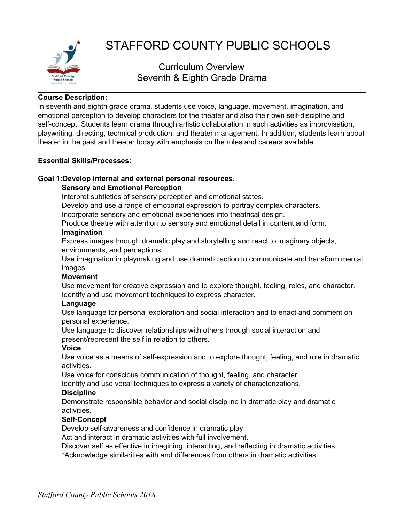

# STAFFORD COUNTY PUBLIC SCHOOLS

## Curriculum Overview Seventh & Eighth Grade Drama

## **Course Description:**

In seventh and eighth grade drama, students use voice, language, movement, imagination, and emotional perception to develop characters for the theater and also their own self-discipline and self-concept. Students learn drama through artistic collaboration in such activities as improvisation, playwriting, directing, technical production, and theater management. In addition, students learn about theater in the past and theater today with emphasis on the roles and careers available.

## **Essential Skills/Processes:**

## **Goal 1:Develop internal and external personal resources.**

## **Sensory and Emotional Perception**

Interpret subtleties of sensory perception and emotional states.

Develop and use a range of emotional expression to portray complex characters.

Incorporate sensory and emotional experiences into theatrical design.

Produce theatre with attention to sensory and emotional detail in content and form.

## **Imagination**

Express images through dramatic play and storytelling and react to imaginary objects, environments, and perceptions.

Use imagination in playmaking and use dramatic action to communicate and transform mental images.

## **Movement**

Use movement for creative expression and to explore thought, feeling, roles, and character. Identify and use movement techniques to express character.

## **Language**

Use language for personal exploration and social interaction and to enact and comment on personal experience.

Use language to discover relationships with others through social interaction and present/represent the self in relation to others.

## **Voice**

Use voice as a means of self-expression and to explore thought, feeling, and role in dramatic activities.

Use voice for conscious communication of thought, feeling, and character.

Identify and use vocal techniques to express a variety of characterizations.

## **Discipline**

Demonstrate responsible behavior and social discipline in dramatic play and dramatic activities.

## **Self-Concept**

Develop self-awareness and confidence in dramatic play.

Act and interact in dramatic activities with full involvement.

Discover self as effective in imagining, interacting, and reflecting in dramatic activities. \*Acknowledge similarities with and differences from others in dramatic activities.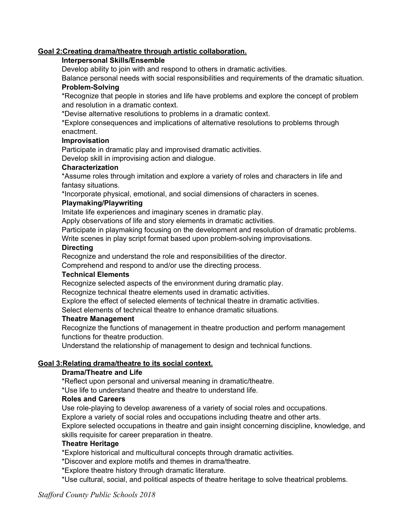## **Goal 2:Creating drama/theatre through artistic collaboration.**

#### **Interpersonal Skills/Ensemble**

Develop ability to join with and respond to others in dramatic activities.

Balance personal needs with social responsibilities and requirements of the dramatic situation. **Problem-Solving**

\*Recognize that people in stories and life have problems and explore the concept of problem and resolution in a dramatic context.

\*Devise alternative resolutions to problems in a dramatic context.

\*Explore consequences and implications of alternative resolutions to problems through enactment.

#### **Improvisation**

Participate in dramatic play and improvised dramatic activities.

Develop skill in improvising action and dialogue.

#### **Characterization**

\*Assume roles through imitation and explore a variety of roles and characters in life and fantasy situations.

\*Incorporate physical, emotional, and social dimensions of characters in scenes.

## **Playmaking/Playwriting**

Imitate life experiences and imaginary scenes in dramatic play.

Apply observations of life and story elements in dramatic activities.

Participate in playmaking focusing on the development and resolution of dramatic problems.

Write scenes in play script format based upon problem-solving improvisations.

#### **Directing**

Recognize and understand the role and responsibilities of the director.

Comprehend and respond to and/or use the directing process.

#### **Technical Elements**

Recognize selected aspects of the environment during dramatic play.

Recognize technical theatre elements used in dramatic activities.

Explore the effect of selected elements of technical theatre in dramatic activities.

Select elements of technical theatre to enhance dramatic situations.

#### **Theatre Management**

Recognize the functions of management in theatre production and perform management functions for theatre production.

Understand the relationship of management to design and technical functions.

## **Goal 3:Relating drama/theatre to its social context.**

## **Drama/Theatre and Life**

\*Reflect upon personal and universal meaning in dramatic/theatre.

\*Use life to understand theatre and theatre to understand life.

## **Roles and Careers**

Use role-playing to develop awareness of a variety of social roles and occupations.

Explore a variety of social roles and occupations including theatre and other arts.

Explore selected occupations in theatre and gain insight concerning discipline, knowledge, and skills requisite for career preparation in theatre.

## **Theatre Heritage**

\*Explore historical and multicultural concepts through dramatic activities.

\*Discover and explore motifs and themes in drama/theatre.

\*Explore theatre history through dramatic literature.

\*Use cultural, social, and political aspects of theatre heritage to solve theatrical problems.